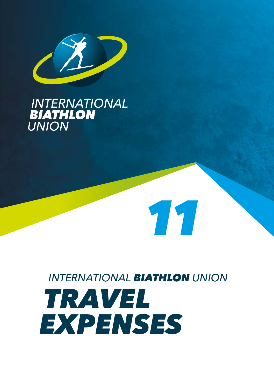

# **INTERNATIONAL<br>BIATHLON<br>UNION**

# *INTERNATIONAL BIATHLON UNION TRAVEL EXPENSES*

*11*